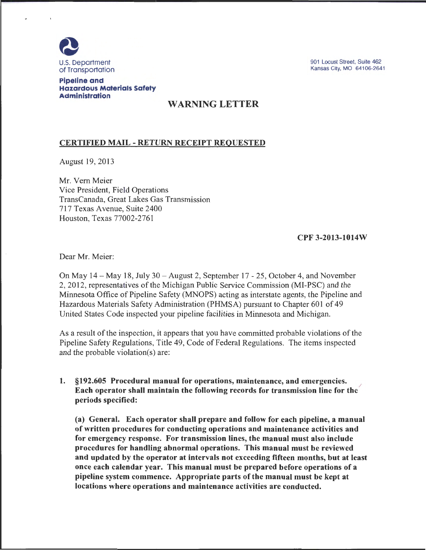

901 Locust Street, Suite 462 Kansas City, MO 64106-2641

### Pipeline and Hazardous Materials Safety **Administration**

# WARNING LETTER

## CERTIFIED MAIL -RETURN RECEIPT REQUESTED

August 19, 2013

Mr. Vern Meier Vice President, Field Operations TransCanada, Great Lakes Gas Transmission 717 Texas Avenue, Suite 2400 Houston, Texas 77002-2761

### CPF 3-2013-1014W

Dear Mr. Meier:

On May 14- May 18, July 30- August 2, September 17-25, October 4, and November 2, 2012, representatives of the Michigan Public Service Commission (MI-PSC) and the Minnesota Office of Pipeline Safety (MNOPS) acting as interstate agents, the Pipeline and Hazardous Materials: Safety Administration (PHMSA) pursuant to Chapter 601 of 49 United States Code inspected your pipeline facilities in Minnesota and Michigan.

As a result of the inspection, it appears that you have committed probable violations of the Pipeline Safety Regulations, Title 49, Code of Federal Regulations. The items inspected and the probable violation(s) are:

1. §192.605 Procedural manual for operations, maintenance, and emergencies. / Each operator shall maintain the following records for transmission line for the periods specified:

(a) General. Each operator shall prepare and follow for each pipeline, a manual of written procedures for conducting operations and maintenance activities and for emergency response. For transmission lines, the manual must also include procedures for handling abnormal operations. This manual must be reviewed and updated by the operator at intervals not exceeding fifteen months, but at least once each calendar year. This manual must be prepared before operations of a pipeline system commence. Appropriate parts of the manual must be kept at locations where operations and maintenance activities are conducted.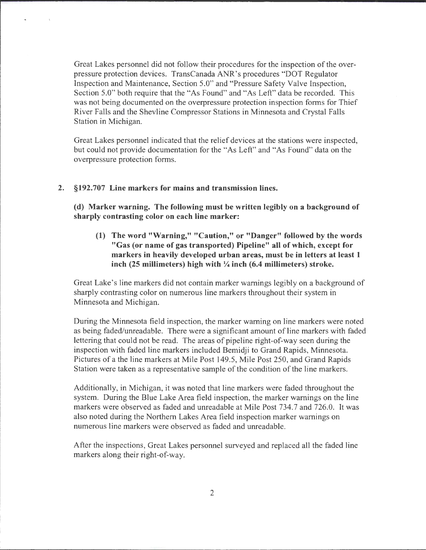Great Lakes personnel did not follow their procedures for the inspection of the overpressure protection devices. TransCanada ANR's procedures "DOT Regulator Inspection and Maintenance, Section 5.0" and "Pressure Safety Valve Inspection, Section 5.0" both require that the "As Found" and "As Left" data be recorded. This was not being documented on the overpressure protection inspection forms for Thief River Falls and the Shevline Compressor Stations in Minnesota and Crystal Falls Station in Michigan.

Great Lakes personnel indicated that the relief devices at the stations were inspected, but could not provide documentation for the "As Left" and "As Found" data on the overpressure protection forms.

#### **2. §192.707 Line markers for mains and transmission lines.**

**(d) Marker warning. The following must be written legibly on a background of sharply contrasting color on each line marker:** 

**(1) The word "Warning," "Caution," or "Danger" followed by the words "Gas (or name of gas transported) Pipeline" all of which, except for markers in heavily developed urban areas, must be in letters at least 1 inch (25 millimeters) high** with~ **inch (6.4 millimeters) stroke.** 

Great Lake's line markers did not contain marker warnings legibly on a background of sharply contrasting color on numerous line markers throughout their system in Minnesota and Michigan.

During the Minnesota field inspection, the marker warning on line markers were noted as being faded/unreadable. There were a significant amount of line markers with faded lettering that could not be read. The areas of pipeline right-of-way seen during the inspection with faded line markers included Bemidji to Grand Rapids, Minnesota. Pictures of a the line markers at Mile Post 149.5, Mile Post 250, and Grand Rapids Station were taken as a representative sample of the condition of the line markers.

Additionally, in Michigan, it was noted that line markers were faded throughout the system. During the Blue Lake Area field inspection, the marker warnings on the line markers were observed as faded and unreadable at Mile Post 734.7 and 726.0. It was also noted during the Northern Lakes Area field inspection marker warnings on numerous line markers were observed as faded and unreadable.

After the inspections, Great Lakes personnel surveyed and replaced all the faded line markers along their right-of-way.